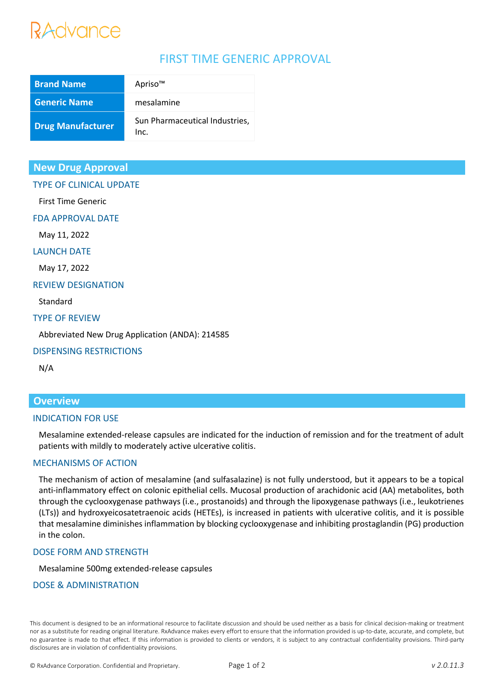# Advance

# FIRST TIME GENERIC APPROVAL

| <b>Brand Name</b>        | Apriso™                                |
|--------------------------|----------------------------------------|
| <b>Generic Name</b>      | mesalamine                             |
| <b>Drug Manufacturer</b> | Sun Pharmaceutical Industries,<br>Inc. |

# **New Drug Approval**

# TYPE OF CLINICAL UPDATE

First Time Generic

FDA APPROVAL DATE

May 11, 2022

LAUNCH DATE

May 17, 2022

#### REVIEW DESIGNATION

Standard

## TYPE OF REVIEW

Abbreviated New Drug Application (ANDA): 214585

## DISPENSING RESTRICTIONS

N/A

# **Overview**

## INDICATION FOR USE

Mesalamine extended-release capsules are indicated for the induction of remission and for the treatment of adult patients with mildly to moderately active ulcerative colitis.

## MECHANISMS OF ACTION

The mechanism of action of mesalamine (and sulfasalazine) is not fully understood, but it appears to be a topical anti-inflammatory effect on colonic epithelial cells. Mucosal production of arachidonic acid (AA) metabolites, both through the cyclooxygenase pathways (i.e., prostanoids) and through the lipoxygenase pathways (i.e., leukotrienes (LTs)) and hydroxyeicosatetraenoic acids (HETEs), is increased in patients with ulcerative colitis, and it is possible that mesalamine diminishes inflammation by blocking cyclooxygenase and inhibiting prostaglandin (PG) production in the colon.

## DOSE FORM AND STRENGTH

Mesalamine 500mg extended-release capsules

## DOSE & ADMINISTRATION

This document is designed to be an informational resource to facilitate discussion and should be used neither as a basis for clinical decision-making or treatment nor as a substitute for reading original literature. RxAdvance makes every effort to ensure that the information provided is up-to-date, accurate, and complete, but no guarantee is made to that effect. If this information is provided to clients or vendors, it is subject to any contractual confidentiality provisions. Third-party disclosures are in violation of confidentiality provisions.